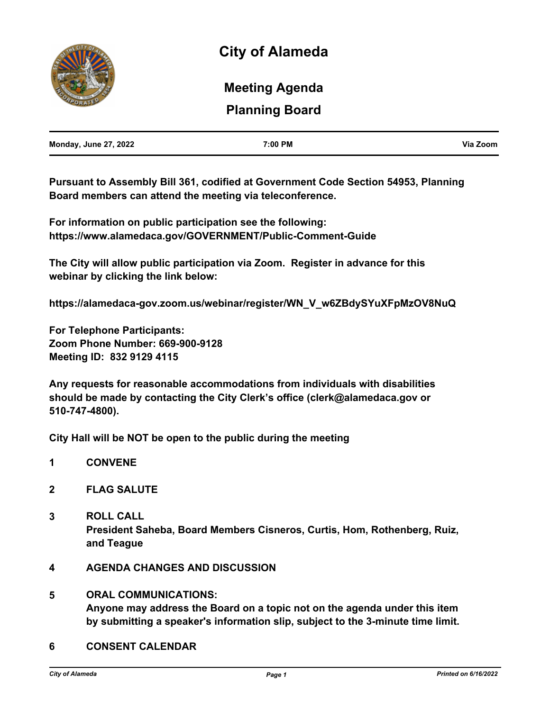

# **Planning Board Meeting Agenda**

| <b>Monday, June 27, 2022</b> | 7:00 PM | Via Zoom |
|------------------------------|---------|----------|
|                              |         |          |

**Pursuant to Assembly Bill 361, codified at Government Code Section 54953, Planning Board members can attend the meeting via teleconference.** 

**For information on public participation see the following: https://www.alamedaca.gov/GOVERNMENT/Public-Comment-Guide**

**The City will allow public participation via Zoom. Register in advance for this webinar by clicking the link below:**

**https://alamedaca-gov.zoom.us/webinar/register/WN\_V\_w6ZBdySYuXFpMzOV8NuQ**

**For Telephone Participants: Zoom Phone Number: 669-900-9128 Meeting ID: 832 9129 4115**

**Any requests for reasonable accommodations from individuals with disabilities should be made by contacting the City Clerk's office (clerk@alamedaca.gov or 510-747-4800).**

**City Hall will be NOT be open to the public during the meeting**

- **1 CONVENE**
- **2 FLAG SALUTE**
- **3 ROLL CALL President Saheba, Board Members Cisneros, Curtis, Hom, Rothenberg, Ruiz, and Teague**
- **4 AGENDA CHANGES AND DISCUSSION**
- **5 ORAL COMMUNICATIONS: Anyone may address the Board on a topic not on the agenda under this item by submitting a speaker's information slip, subject to the 3-minute time limit.**
- **6 CONSENT CALENDAR**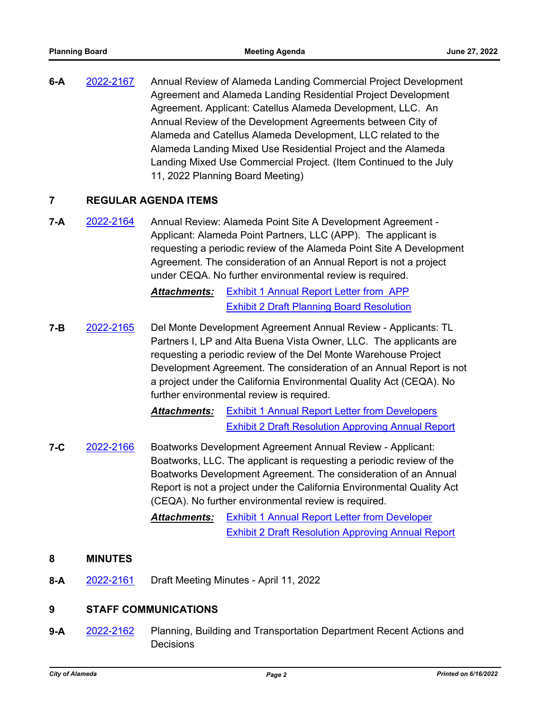**6-A** [2022-2167](http://alameda.legistar.com/gateway.aspx?m=l&id=/matter.aspx?key=11944) Annual Review of Alameda Landing Commercial Project Development Agreement and Alameda Landing Residential Project Development Agreement. Applicant: Catellus Alameda Development, LLC. An Annual Review of the Development Agreements between City of Alameda and Catellus Alameda Development, LLC related to the Alameda Landing Mixed Use Residential Project and the Alameda Landing Mixed Use Commercial Project. (Item Continued to the July 11, 2022 Planning Board Meeting)

# **7 REGULAR AGENDA ITEMS**

**7-A** [2022-2164](http://alameda.legistar.com/gateway.aspx?m=l&id=/matter.aspx?key=11941) Annual Review: Alameda Point Site A Development Agreement - Applicant: Alameda Point Partners, LLC (APP). The applicant is requesting a periodic review of the Alameda Point Site A Development Agreement. The consideration of an Annual Report is not a project under CEQA. No further environmental review is required.

> *Attachments:* [Exhibit 1 Annual Report Letter from APP](http://alameda.legistar.com/gateway.aspx?M=F&ID=231af4bb-0c4b-4295-a9c3-3bdd0adfdb72.pdf) [Exhibit 2 Draft Planning Board Resolution](http://alameda.legistar.com/gateway.aspx?M=F&ID=a55bd4e1-5a07-4d34-8ebe-bad3af904386.pdf)

**7-B** [2022-2165](http://alameda.legistar.com/gateway.aspx?m=l&id=/matter.aspx?key=11942) Del Monte Development Agreement Annual Review - Applicants: TL Partners I, LP and Alta Buena Vista Owner, LLC. The applicants are requesting a periodic review of the Del Monte Warehouse Project Development Agreement. The consideration of an Annual Report is not a project under the California Environmental Quality Act (CEQA). No further environmental review is required.

> *Attachments:* [Exhibit 1 Annual Report Letter from Developers](http://alameda.legistar.com/gateway.aspx?M=F&ID=aee47459-d2f3-4553-8893-c2ca80fe63af.pdf) [Exhibit 2 Draft Resolution Approving Annual Report](http://alameda.legistar.com/gateway.aspx?M=F&ID=8e727fa5-9099-4aa4-837d-a1f5ac8eb821.pdf)

- **7-C** [2022-2166](http://alameda.legistar.com/gateway.aspx?m=l&id=/matter.aspx?key=11943) Boatworks Development Agreement Annual Review Applicant: Boatworks, LLC. The applicant is requesting a periodic review of the Boatworks Development Agreement. The consideration of an Annual Report is not a project under the California Environmental Quality Act (CEQA). No further environmental review is required.
	- *Attachments:* [Exhibit 1 Annual Report Letter from Developer](http://alameda.legistar.com/gateway.aspx?M=F&ID=10347521-93c7-4fe8-9b8c-012f9a05218d.pdf) [Exhibit 2 Draft Resolution Approving Annual Report](http://alameda.legistar.com/gateway.aspx?M=F&ID=8b4cce38-ee5f-4492-afff-13dfce4c8d0c.pdf)

## **8 MINUTES**

**8-A** [2022-2161](http://alameda.legistar.com/gateway.aspx?m=l&id=/matter.aspx?key=11938) Draft Meeting Minutes - April 11, 2022

## **9 STAFF COMMUNICATIONS**

**9-A** [2022-2162](http://alameda.legistar.com/gateway.aspx?m=l&id=/matter.aspx?key=11939) Planning, Building and Transportation Department Recent Actions and **Decisions**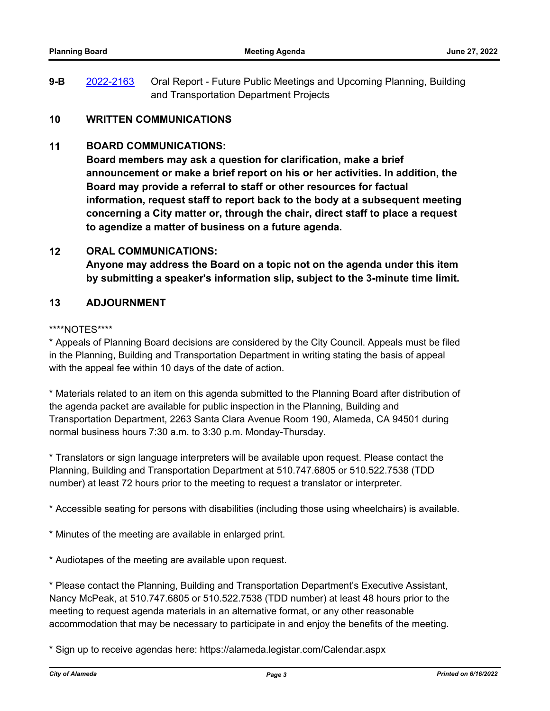**9-B** [2022-2163](http://alameda.legistar.com/gateway.aspx?m=l&id=/matter.aspx?key=11940) Oral Report - Future Public Meetings and Upcoming Planning, Building and Transportation Department Projects

# **10 WRITTEN COMMUNICATIONS**

## **11 BOARD COMMUNICATIONS:**

**Board members may ask a question for clarification, make a brief announcement or make a brief report on his or her activities. In addition, the Board may provide a referral to staff or other resources for factual information, request staff to report back to the body at a subsequent meeting concerning a City matter or, through the chair, direct staff to place a request to agendize a matter of business on a future agenda.**

## **12 ORAL COMMUNICATIONS:**

**Anyone may address the Board on a topic not on the agenda under this item by submitting a speaker's information slip, subject to the 3-minute time limit.**

# **13 ADJOURNMENT**

#### \*\*\*\*NOTES\*\*\*\*

\* Appeals of Planning Board decisions are considered by the City Council. Appeals must be filed in the Planning, Building and Transportation Department in writing stating the basis of appeal with the appeal fee within 10 days of the date of action.

\* Materials related to an item on this agenda submitted to the Planning Board after distribution of the agenda packet are available for public inspection in the Planning, Building and Transportation Department, 2263 Santa Clara Avenue Room 190, Alameda, CA 94501 during normal business hours 7:30 a.m. to 3:30 p.m. Monday-Thursday.

\* Translators or sign language interpreters will be available upon request. Please contact the Planning, Building and Transportation Department at 510.747.6805 or 510.522.7538 (TDD number) at least 72 hours prior to the meeting to request a translator or interpreter.

\* Accessible seating for persons with disabilities (including those using wheelchairs) is available.

- \* Minutes of the meeting are available in enlarged print.
- \* Audiotapes of the meeting are available upon request.

\* Please contact the Planning, Building and Transportation Department's Executive Assistant, Nancy McPeak, at 510.747.6805 or 510.522.7538 (TDD number) at least 48 hours prior to the meeting to request agenda materials in an alternative format, or any other reasonable accommodation that may be necessary to participate in and enjoy the benefits of the meeting.

\* Sign up to receive agendas here: https://alameda.legistar.com/Calendar.aspx